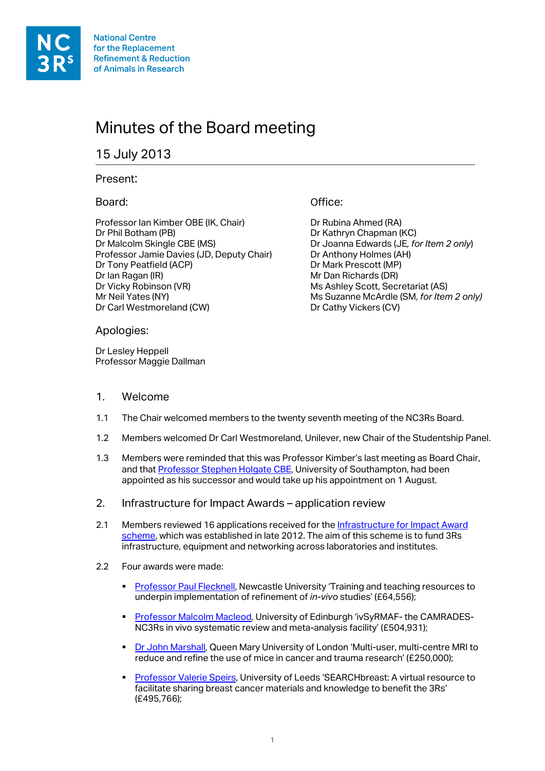**National Centre** for the Replacement **Refinement & Reduction** of Animals in Research

# Minutes of the Board meeting

# 15 July 2013

#### Present:

# Board:

Professor Ian Kimber OBE (IK, Chair) Dr Phil Botham (PB) Dr Malcolm Skingle CBE (MS) Professor Jamie Davies (JD, Deputy Chair) Dr Tony Peatfield (ACP) Dr Ian Ragan (IR) Dr Vicky Robinson (VR) Mr Neil Yates (NY) Dr Carl Westmoreland (CW)

#### Apologies:

Dr Lesley Heppell Professor Maggie Dallman

# Office:

Dr Rubina Ahmed (RA) Dr Kathryn Chapman (KC) Dr Joanna Edwards (JE*, for Item 2 only*) Dr Anthony Holmes (AH) Dr Mark Prescott (MP) Mr Dan Richards (DR) Ms Ashley Scott, Secretariat (AS) Ms Suzanne McArdle (SM, *for Item 2 only)* Dr Cathy Vickers (CV)

# 1. Welcome

- 1.1 The Chair welcomed members to the twenty seventh meeting of the NC3Rs Board.
- 1.2 Members welcomed Dr Carl Westmoreland, Unilever, new Chair of the Studentship Panel.
- 1.3 Members were reminded that this was Professor Kimber's last meeting as Board Chair, and that [Professor Stephen Holgate](http://www.nc3rs.org.uk/news.asp?id=1977) CBE, University of Southampton, had been appointed as his successor and would take up his appointment on 1 August.
- 2. Infrastructure for Impact Awards application review
- 2.1 Members reviewed 16 applications received for the Infrastructure for Impact Award [scheme,](http://www.nc3rs.org.uk/page.asp?id=1901) which was established in late 2012. The aim of this scheme is to fund 3Rs infrastructure, equipment and networking across laboratories and institutes.
- 2.2 Four awards were made:
	- [Professor Paul Flecknell,](http://www.nc3rs.org.uk/researchportfolio/showcatportfolio.asp?id=363) Newcastle University 'Training and teaching resources to underpin implementation of refinement of *in-vivo* studies' (£64,556);
	- **[Professor Malcolm Macleod,](http://www.nc3rs.org.uk/researchportfolio/showcatportfolio.asp?id=356) University of Edinburgh 'ivSyRMAF- the CAMRADES-**NC3Rs in vivo systematic review and meta-analysis facility' (£504,931);
	- [Dr John Marshall,](http://www.nc3rs.org.uk/researchportfolio/showcatportfolio.asp?id=357) Queen Mary University of London 'Multi-user, multi-centre MRI to reduce and refine the use of mice in cancer and trauma research' (£250,000);
	- **[Professor Valerie Speirs,](http://www.nc3rs.org.uk/researchportfolio/showcatportfolio.asp?id=361) University of Leeds 'SEARCHbreast: A virtual resource to** facilitate sharing breast cancer materials and knowledge to benefit the 3Rs' (£495,766);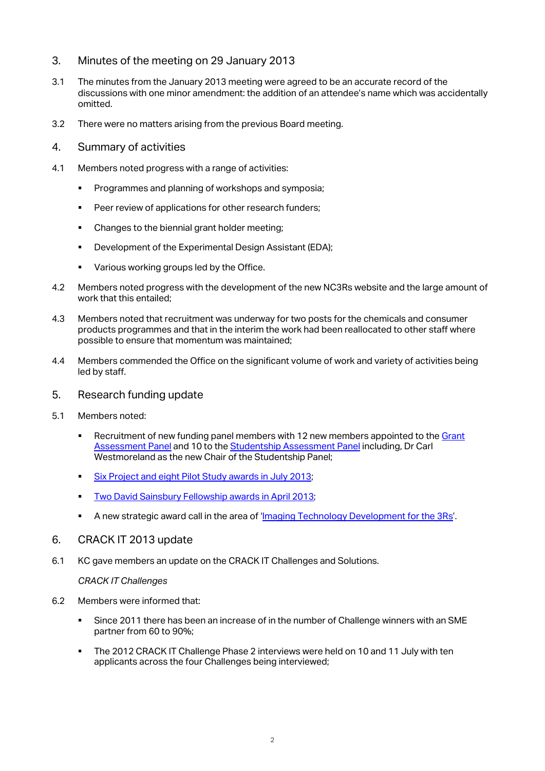- 3. Minutes of the meeting on 29 January 2013
- 3.1 The minutes from the January 2013 meeting were agreed to be an accurate record of the discussions with one minor amendment: the addition of an attendee's name which was accidentally omitted.
- 3.2 There were no matters arising from the previous Board meeting.
- 4. Summary of activities
- 4.1 Members noted progress with a range of activities:
	- **Programmes and planning of workshops and symposia;**
	- **Peer review of applications for other research funders;**
	- Changes to the biennial grant holder meeting;
	- Development of the Experimental Design Assistant (EDA);
	- **Various working groups led by the Office.**
- 4.2 Members noted progress with the development of the new NC3Rs website and the large amount of work that this entailed;
- 4.3 Members noted that recruitment was underway for two posts for the chemicals and consumer products programmes and that in the interim the work had been reallocated to other staff where possible to ensure that momentum was maintained;
- 4.4 Members commended the Office on the significant volume of work and variety of activities being led by staff.
- 5. Research funding update
- 5.1 Members noted:
	- **EXECT** Recruitment of new funding panel members with 12 new members appointed to the Grant [Assessment Panel](http://www.nc3rs.org.uk/page.asp?id=141) and 10 to th[e Studentship Assessment Panel](http://www.nc3rs.org.uk/page.asp?id=1046) including, Dr Carl Westmoreland as the new Chair of the Studentship Panel;
	- [Six Project and eight Pilot Study awards in July 2013;](http://www.nc3rs.org.uk/news.asp?id=1976)
	- Two [David Sainsbury Fellowship awards in April 2013;](http://www.nc3rs.org.uk/news.asp?id=1960)
	- A new strategic award call in the area of ['Imaging Technology Development for the 3Rs'](http://www.nc3rs.org.uk/page.asp?id=1972).
- 6. CRACK IT 2013 update
- 6.1 KC gave members an update on the CRACK IT Challenges and Solutions.

*CRACK IT Challenges*

- 6.2 Members were informed that:
	- Since 2011 there has been an increase of in the number of Challenge winners with an SME partner from 60 to 90%;
	- The 2012 CRACK IT Challenge Phase 2 interviews were held on 10 and 11 July with ten applicants across the four Challenges being interviewed;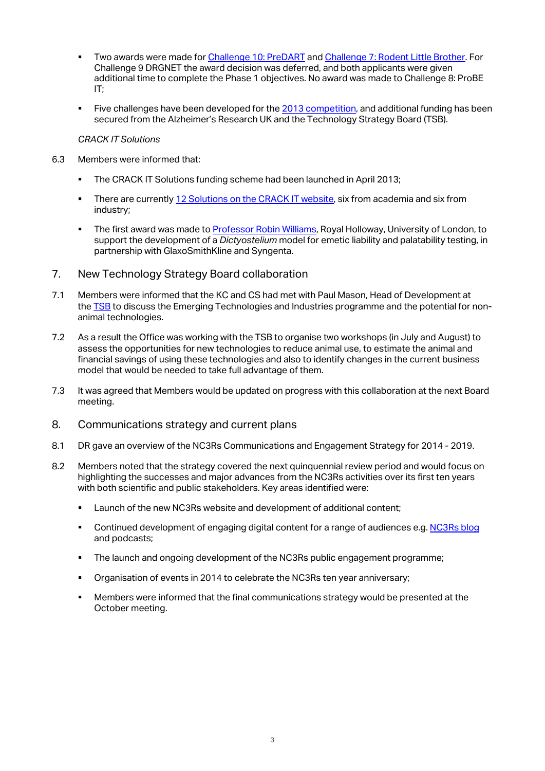- Two awards were made fo[r Challenge 10:](http://www.crackit.org.uk/crack/2012/2012_challenges/challenge10-predart) PreDART and Challenge 7: Rodent [Little Brother.](http://www.crackit.org.uk/crack/2012/2012_challenges/Challenge7-rodentlittlebrother) For Challenge 9 DRGNET the award decision was deferred, and both applicants were given additional time to complete the Phase 1 objectives. No award was made to Challenge 8: ProBE IT;
- Five challenges have been developed for the [2013 competition,](http://www.crackit.org.uk/crack/2013/2013_challenges) and additional funding has been secured from the Alzheimer's Research UK and the Technology Strategy Board (TSB).

#### *CRACK IT Solutions*

- 6.3 Members were informed that:
	- The CRACK IT Solutions funding scheme had been launched in April 2013;
	- **There are currently [12 Solutions on the CRACK IT website,](http://www.crackit.org.uk/share/crackitsolutions) six from academia and six from** industry;
	- The first award was made t[o Professor Robin Williams,](http://www.crackit.org.uk/news.aspx?id=285) Royal Holloway, University of London, to support the development of a *Dictyostelium* model for emetic liability and palatability testing, in partnership with GlaxoSmithKline and Syngenta.
- 7. New Technology Strategy Board collaboration
- 7.1 Members were informed that the KC and CS had met with Paul Mason, Head of Development at the [TSB](https://www.innovateuk.org/) to discuss the Emerging Technologies and Industries programme and the potential for nonanimal technologies.
- 7.2 As a result the Office was working with the TSB to organise two workshops (in July and August) to assess the opportunities for new technologies to reduce animal use, to estimate the animal and financial savings of using these technologies and also to identify changes in the current business model that would be needed to take full advantage of them.
- 7.3 It was agreed that Members would be updated on progress with this collaboration at the next Board meeting.
- 8. Communications strategy and current plans
- 8.1 DR gave an overview of the NC3Rs Communications and Engagement Strategy for 2014 2019.
- 8.2 Members noted that the strategy covered the next quinquennial review period and would focus on highlighting the successes and major advances from the NC3Rs activities over its first ten years with both scientific and public stakeholders. Key areas identified were:
	- **EXECT:** Launch of the new NC3Rs website and development of additional content;
	- Continued development of engaging digital content for a range of audiences e.g. [NC3Rs blog](http://blog.nc3rs.org.uk/) and podcasts;
	- The launch and ongoing development of the NC3Rs public engagement programme;
	- Organisation of events in 2014 to celebrate the NC3Rs ten year anniversary;
	- Members were informed that the final communications strategy would be presented at the October meeting.